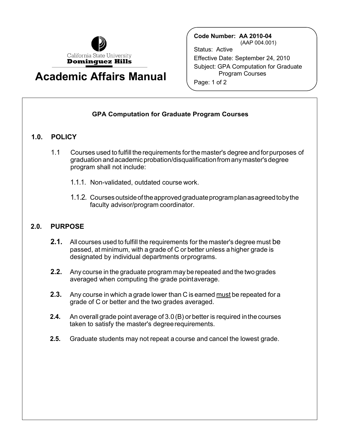

## **Academic Affairs Manual**

**Code Number: AA 2010-04**  (AAP 004.001) Status: Active Effective Date: September 24, 2010 Subject: GPA Computation for Graduate Program Courses Page: 1 of 2

## **GPA Computation for Graduate Program Courses**

## **1.0. POLICY**

- 1.1 Courses used to fulfill the requirements forthe master's degree andforpurposes of graduation andacademic probation/disqualificationfromanymaster'sdegree program shall not include:
	- 1.1.1. Non-validated, outdated course work.
	- 1.1.2. Courses outsideof theapprovedgraduateprogramplanasagreedtobythe faculty advisor/program coordinator.

## **2.0. PURPOSE**

- **2.1.** All courses used to fulfill the requirements for the master's degree must be passed, at minimum, with a grade of C or better unless a higher grade is designated by individual departments orprograms.
- **2.2.** Any course in the graduate program may be repeated and the two grades averaged when computing the grade pointaverage.
- **2.3.** Any course in which a grade lower than C is earned <u>must</u> be repeated for a grade of C or better and the two grades averaged.
- **2.4.** An overall grade point average of 3.0 (B) or better is required in the courses taken to satisfy the master's degreerequirements.
- **2.5.** Graduate students may not repeat a course and cancel the lowest grade.